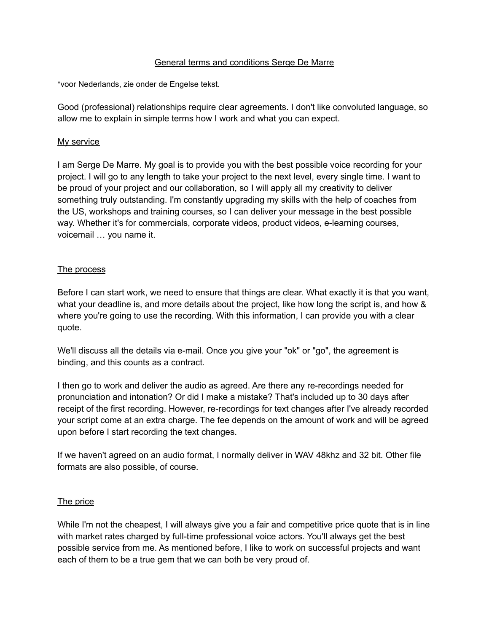### General terms and conditions Serge De Marre

\*voor Nederlands, zie onder de Engelse tekst.

Good (professional) relationships require clear agreements. I don't like convoluted language, so allow me to explain in simple terms how I work and what you can expect.

### My service

I am Serge De Marre. My goal is to provide you with the best possible voice recording for your project. I will go to any length to take your project to the next level, every single time. I want to be proud of your project and our collaboration, so I will apply all my creativity to deliver something truly outstanding. I'm constantly upgrading my skills with the help of coaches from the US, workshops and training courses, so I can deliver your message in the best possible way. Whether it's for commercials, corporate videos, product videos, e-learning courses, voicemail … you name it.

### The process

Before I can start work, we need to ensure that things are clear. What exactly it is that you want, what your deadline is, and more details about the project, like how long the script is, and how & where you're going to use the recording. With this information, I can provide you with a clear quote.

We'll discuss all the details via e-mail. Once you give your "ok" or "go", the agreement is binding, and this counts as a contract.

I then go to work and deliver the audio as agreed. Are there any re-recordings needed for pronunciation and intonation? Or did I make a mistake? That's included up to 30 days after receipt of the first recording. However, re-recordings for text changes after I've already recorded your script come at an extra charge. The fee depends on the amount of work and will be agreed upon before I start recording the text changes.

If we haven't agreed on an audio format, I normally deliver in WAV 48khz and 32 bit. Other file formats are also possible, of course.

### The price

While I'm not the cheapest, I will always give you a fair and competitive price quote that is in line with market rates charged by full-time professional voice actors. You'll always get the best possible service from me. As mentioned before, I like to work on successful projects and want each of them to be a true gem that we can both be very proud of.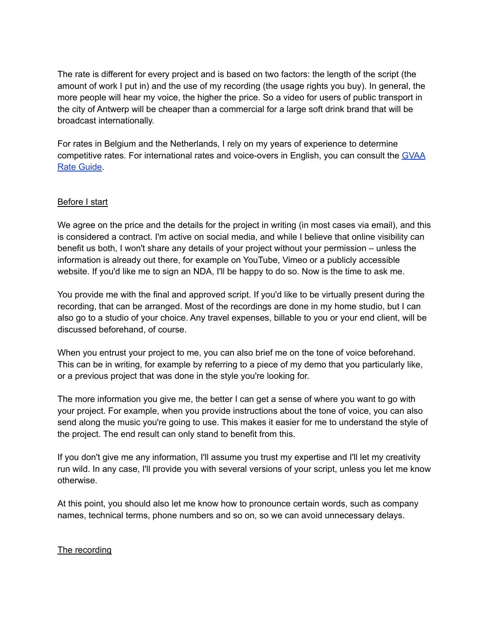The rate is different for every project and is based on two factors: the length of the script (the amount of work I put in) and the use of my recording (the usage rights you buy). In general, the more people will hear my voice, the higher the price. So a video for users of public transport in the city of Antwerp will be cheaper than a commercial for a large soft drink brand that will be broadcast internationally.

For rates in Belgium and the Netherlands, I rely on my years of experience to determine competitive rates. For international rates and voice-overs in English, you can consult the [GVAA](https://globalvoiceacademy.com/gvaa-rate-guide-2/) Rate [Guide.](https://globalvoiceacademy.com/gvaa-rate-guide-2/)

## Before I start

We agree on the price and the details for the project in writing (in most cases via email), and this is considered a contract. I'm active on social media, and while I believe that online visibility can benefit us both, I won't share any details of your project without your permission – unless the information is already out there, for example on YouTube, Vimeo or a publicly accessible website. If you'd like me to sign an NDA, I'll be happy to do so. Now is the time to ask me.

You provide me with the final and approved script. If you'd like to be virtually present during the recording, that can be arranged. Most of the recordings are done in my home studio, but I can also go to a studio of your choice. Any travel expenses, billable to you or your end client, will be discussed beforehand, of course.

When you entrust your project to me, you can also brief me on the tone of voice beforehand. This can be in writing, for example by referring to a piece of my demo that you particularly like, or a previous project that was done in the style you're looking for.

The more information you give me, the better I can get a sense of where you want to go with your project. For example, when you provide instructions about the tone of voice, you can also send along the music you're going to use. This makes it easier for me to understand the style of the project. The end result can only stand to benefit from this.

If you don't give me any information, I'll assume you trust my expertise and I'll let my creativity run wild. In any case, I'll provide you with several versions of your script, unless you let me know otherwise.

At this point, you should also let me know how to pronounce certain words, such as company names, technical terms, phone numbers and so on, so we can avoid unnecessary delays.

### The recording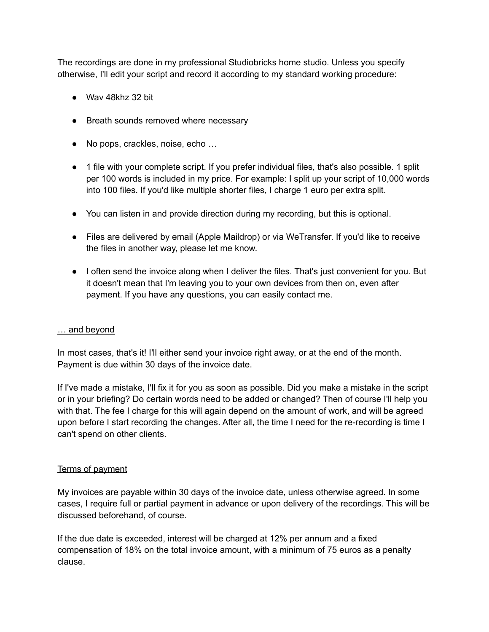The recordings are done in my professional Studiobricks home studio. Unless you specify otherwise, I'll edit your script and record it according to my standard working procedure:

- Way 48khz 32 bit
- Breath sounds removed where necessary
- No pops, crackles, noise, echo ...
- 1 file with your complete script. If you prefer individual files, that's also possible. 1 split per 100 words is included in my price. For example: I split up your script of 10,000 words into 100 files. If you'd like multiple shorter files, I charge 1 euro per extra split.
- You can listen in and provide direction during my recording, but this is optional.
- Files are delivered by email (Apple Maildrop) or via WeTransfer. If you'd like to receive the files in another way, please let me know.
- I often send the invoice along when I deliver the files. That's just convenient for you. But it doesn't mean that I'm leaving you to your own devices from then on, even after payment. If you have any questions, you can easily contact me.

### … and beyond

In most cases, that's it! I'll either send your invoice right away, or at the end of the month. Payment is due within 30 days of the invoice date.

If I've made a mistake, I'll fix it for you as soon as possible. Did you make a mistake in the script or in your briefing? Do certain words need to be added or changed? Then of course I'll help you with that. The fee I charge for this will again depend on the amount of work, and will be agreed upon before I start recording the changes. After all, the time I need for the re-recording is time I can't spend on other clients.

### Terms of payment

My invoices are payable within 30 days of the invoice date, unless otherwise agreed. In some cases, I require full or partial payment in advance or upon delivery of the recordings. This will be discussed beforehand, of course.

If the due date is exceeded, interest will be charged at 12% per annum and a fixed compensation of 18% on the total invoice amount, with a minimum of 75 euros as a penalty clause.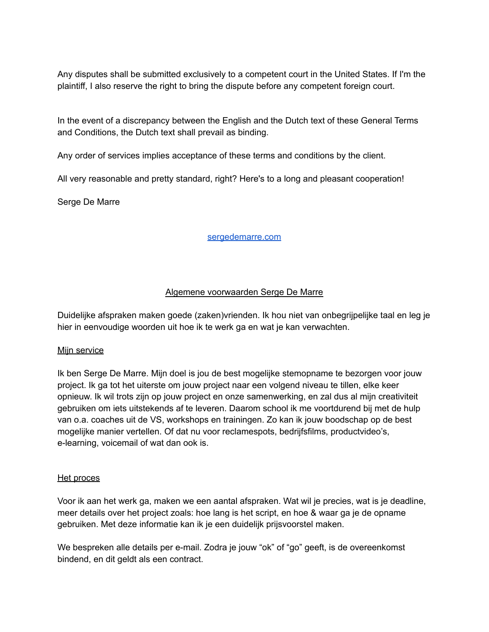Any disputes shall be submitted exclusively to a competent court in the United States. If I'm the plaintiff, I also reserve the right to bring the dispute before any competent foreign court.

In the event of a discrepancy between the English and the Dutch text of these General Terms and Conditions, the Dutch text shall prevail as binding.

Any order of services implies acceptance of these terms and conditions by the client.

All very reasonable and pretty standard, right? Here's to a long and pleasant cooperation!

Serge De Marre

[sergedemarre.com](http://www.sergedemarre.com)

# Algemene voorwaarden Serge De Marre

Duidelijke afspraken maken goede (zaken)vrienden. Ik hou niet van onbegrijpelijke taal en leg je hier in eenvoudige woorden uit hoe ik te werk ga en wat je kan verwachten.

### Mijn service

Ik ben Serge De Marre. Mijn doel is jou de best mogelijke stemopname te bezorgen voor jouw project. Ik ga tot het uiterste om jouw project naar een volgend niveau te tillen, elke keer opnieuw. Ik wil trots zijn op jouw project en onze samenwerking, en zal dus al mijn creativiteit gebruiken om iets uitstekends af te leveren. Daarom school ik me voortdurend bij met de hulp van o.a. coaches uit de VS, workshops en trainingen. Zo kan ik jouw boodschap op de best mogelijke manier vertellen. Of dat nu voor reclamespots, bedrijfsfilms, productvideo's, e-learning, voicemail of wat dan ook is.

### Het proces

Voor ik aan het werk ga, maken we een aantal afspraken. Wat wil je precies, wat is je deadline, meer details over het project zoals: hoe lang is het script, en hoe & waar ga je de opname gebruiken. Met deze informatie kan ik je een duidelijk prijsvoorstel maken.

We bespreken alle details per e-mail. Zodra je jouw "ok" of "go" geeft, is de overeenkomst bindend, en dit geldt als een contract.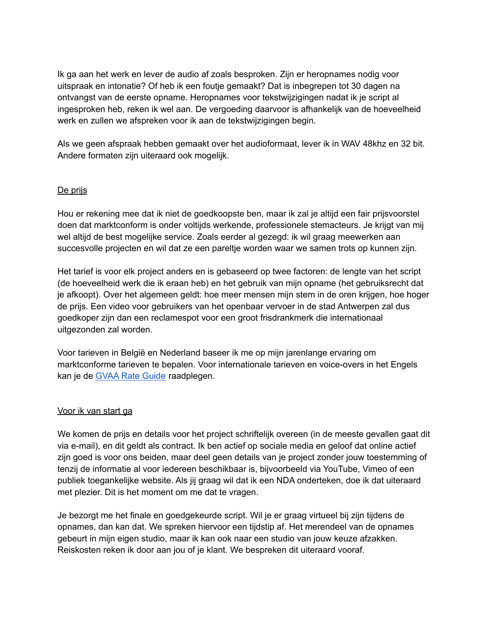Ik ga aan het werk en lever de audio af zoals besproken. Zijn er heropnames nodig voor uitspraak en intonatie? Of heb ik een foutje gemaakt? Dat is inbegrepen tot 30 dagen na ontvangst van de eerste opname. Heropnames voor tekstwijzigingen nadat ik je script al ingesproken heb, reken ik wel aan. De vergoeding daarvoor is afhankelijk van de hoeveelheid werk en zullen we afspreken voor ik aan de tekstwijzigingen begin.

Als we geen afspraak hebben gemaakt over het audioformaat, lever ik in WAV 48khz en 32 bit. Andere formaten zijn uiteraard ook mogelijk.

## De prijs

Hou er rekening mee dat ik niet de goedkoopste ben, maar ik zal je altijd een fair prijsvoorstel doen dat marktconform is onder voltijds werkende, professionele stemacteurs. Je krijgt van mij wel altijd de best mogelijke service. Zoals eerder al gezegd: ik wil graag meewerken aan succesvolle projecten en wil dat ze een pareltje worden waar we samen trots op kunnen zijn.

Het tarief is voor elk project anders en is gebaseerd op twee factoren: de lengte van het script (de hoeveelheid werk die ik eraan heb) en het gebruik van mijn opname (het gebruiksrecht dat je afkoopt). Over het algemeen geldt: hoe meer mensen mijn stem in de oren krijgen, hoe hoger de prijs. Een video voor gebruikers van het openbaar vervoer in de stad Antwerpen zal dus goedkoper zijn dan een reclamespot voor een groot frisdrankmerk die internationaal uitgezonden zal worden.

Voor tarieven in België en Nederland baseer ik me op mijn jarenlange ervaring om marktconforme tarieven te bepalen. Voor internationale tarieven en voice-overs in het Engels kan je de [GVAA](https://globalvoiceacademy.com/gvaa-rate-guide-2/) Rate Guide raadplegen.

### Voor ik van start ga

We komen de prijs en details voor het project schriftelijk overeen (in de meeste gevallen gaat dit via e-mail), en dit geldt als contract. Ik ben actief op sociale media en geloof dat online actief zijn goed is voor ons beiden, maar deel geen details van je project zonder jouw toestemming of tenzij de informatie al voor iedereen beschikbaar is, bijvoorbeeld via YouTube, Vimeo of een publiek toegankelijke website. Als jij graag wil dat ik een NDA onderteken, doe ik dat uiteraard met plezier. Dit is het moment om me dat te vragen.

Je bezorgt me het finale en goedgekeurde script. Wil je er graag virtueel bij zijn tijdens de opnames, dan kan dat. We spreken hiervoor een tijdstip af. Het merendeel van de opnames gebeurt in mijn eigen studio, maar ik kan ook naar een studio van jouw keuze afzakken. Reiskosten reken ik door aan jou of je klant. We bespreken dit uiteraard vooraf.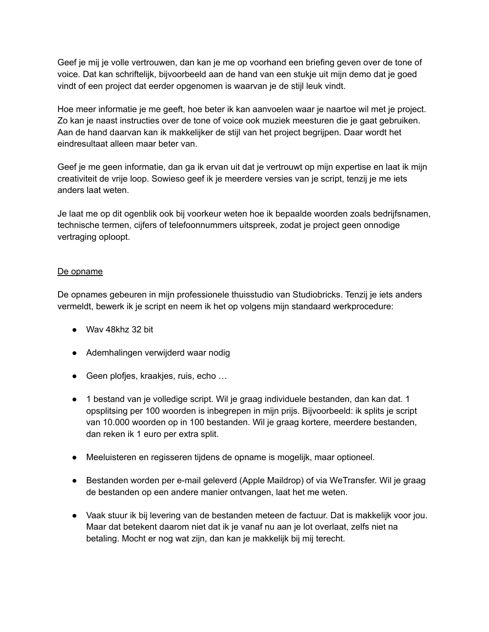Geef je mij je volle vertrouwen, dan kan je me op voorhand een briefing geven over de tone of voice. Dat kan schriftelijk, bijvoorbeeld aan de hand van een stukje uit mijn demo dat je goed vindt of een project dat eerder opgenomen is waarvan je de stijl leuk vindt.

Hoe meer informatie je me geeft, hoe beter ik kan aanvoelen waar je naartoe wil met je project. Zo kan je naast instructies over de tone of voice ook muziek meesturen die je gaat gebruiken. Aan de hand daarvan kan ik makkelijker de stijl van het project begrijpen. Daar wordt het eindresultaat alleen maar beter van.

Geef je me geen informatie, dan ga ik ervan uit dat je vertrouwt op mijn expertise en laat ik mijn creativiteit de vrije loop. Sowieso geef ik je meerdere versies van je script, tenzij je me iets anders laat weten.

Je laat me op dit ogenblik ook bij voorkeur weten hoe ik bepaalde woorden zoals bedrijfsnamen, technische termen, cijfers of telefoonnummers uitspreek, zodat je project geen onnodige vertraging oploopt.

# De opname

De opnames gebeuren in mijn professionele thuisstudio van Studiobricks. Tenzij je iets anders vermeldt, bewerk ik je script en neem ik het op volgens mijn standaard werkprocedure:

- Wav 48khz 32 bit
- Ademhalingen verwijderd waar nodig
- Geen plofjes, kraakjes, ruis, echo ...
- 1 bestand van je volledige script. Wil je graag individuele bestanden, dan kan dat. 1 opsplitsing per 100 woorden is inbegrepen in mijn prijs. Bijvoorbeeld: ik splits je script van 10.000 woorden op in 100 bestanden. Wil je graag kortere, meerdere bestanden, dan reken ik 1 euro per extra split.
- Meeluisteren en regisseren tijdens de opname is mogelijk, maar optioneel.
- Bestanden worden per e-mail geleverd (Apple Maildrop) of via WeTransfer. Wil je graag de bestanden op een andere manier ontvangen, laat het me weten.
- Vaak stuur ik bij levering van de bestanden meteen de factuur. Dat is makkelijk voor jou. Maar dat betekent daarom niet dat ik je vanaf nu aan je lot overlaat, zelfs niet na betaling. Mocht er nog wat zijn, dan kan je makkelijk bij mij terecht.